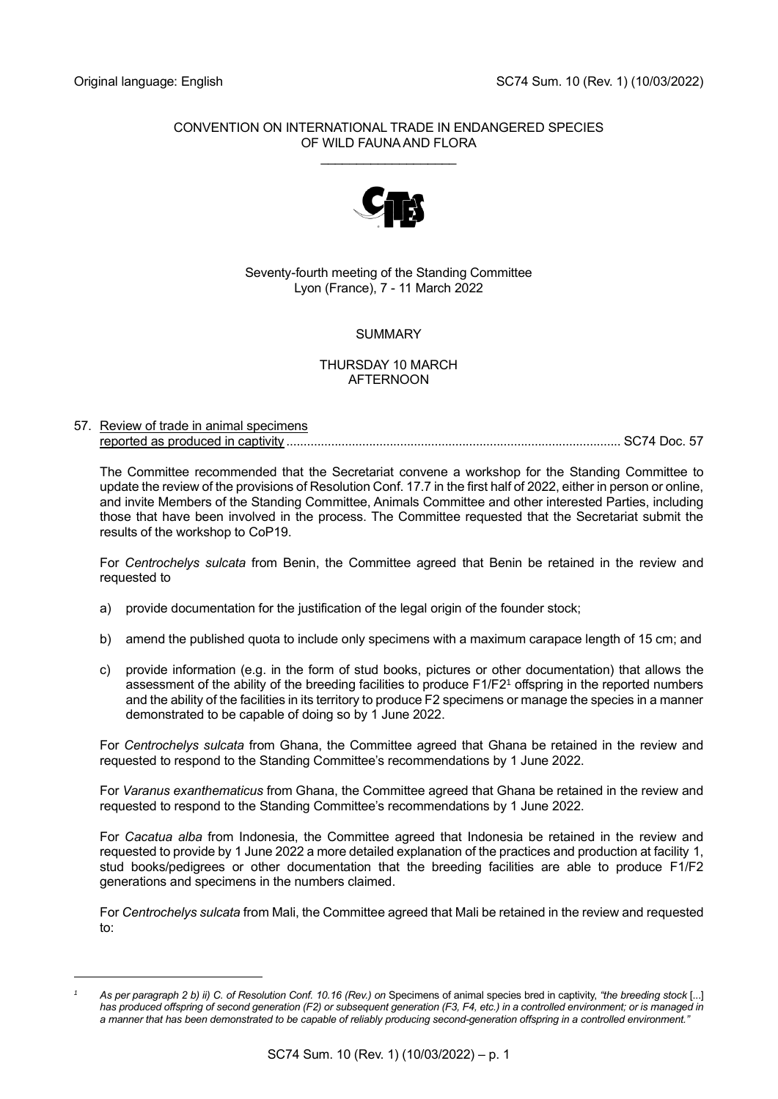### CONVENTION ON INTERNATIONAL TRADE IN ENDANGERED SPECIES OF WILD FAUNA AND FLORA \_\_\_\_\_\_\_\_\_\_\_\_\_\_\_\_\_\_\_



## Seventy-fourth meeting of the Standing Committee Lyon (France), 7 - 11 March 2022

# **SUMMARY**

#### THURSDAY 10 MARCH AFTERNOON

### 57. Review of trade in animal specimens reported as produced in captivity ................................................................................................. SC74 Doc. 57

The Committee recommended that the Secretariat convene a workshop for the Standing Committee to update the review of the provisions of Resolution Conf. 17.7 in the first half of 2022, either in person or online, and invite Members of the Standing Committee, Animals Committee and other interested Parties, including those that have been involved in the process. The Committee requested that the Secretariat submit the results of the workshop to CoP19.

For *Centrochelys sulcata* from Benin, the Committee agreed that Benin be retained in the review and requested to

- a) provide documentation for the justification of the legal origin of the founder stock;
- b) amend the published quota to include only specimens with a maximum carapace length of 15 cm; and
- c) provide information (e.g. in the form of stud books, pictures or other documentation) that allows the assessment of the ability of the breeding facilities to produce F1/F2<sup>1</sup> offspring in the reported numbers and the ability of the facilities in its territory to produce F2 specimens or manage the species in a manner demonstrated to be capable of doing so by 1 June 2022.

For *Centrochelys sulcata* from Ghana, the Committee agreed that Ghana be retained in the review and requested to respond to the Standing Committee's recommendations by 1 June 2022.

For *Varanus exanthematicus* from Ghana, the Committee agreed that Ghana be retained in the review and requested to respond to the Standing Committee's recommendations by 1 June 2022.

For *Cacatua alba* from Indonesia, the Committee agreed that Indonesia be retained in the review and requested to provide by 1 June 2022 a more detailed explanation of the practices and production at facility 1, stud books/pedigrees or other documentation that the breeding facilities are able to produce F1/F2 generations and specimens in the numbers claimed.

For *Centrochelys sulcata* from Mali, the Committee agreed that Mali be retained in the review and requested to:

*<sup>1</sup> As per paragraph 2 b) ii) C. of Resolution Conf. 10.16 (Rev.) on* Specimens of animal species bred in captivity, *"the breeding stock* [...] *has produced offspring of second generation (F2) or subsequent generation (F3, F4, etc.) in a controlled environment; or is managed in a manner that has been demonstrated to be capable of reliably producing second-generation offspring in a controlled environment."*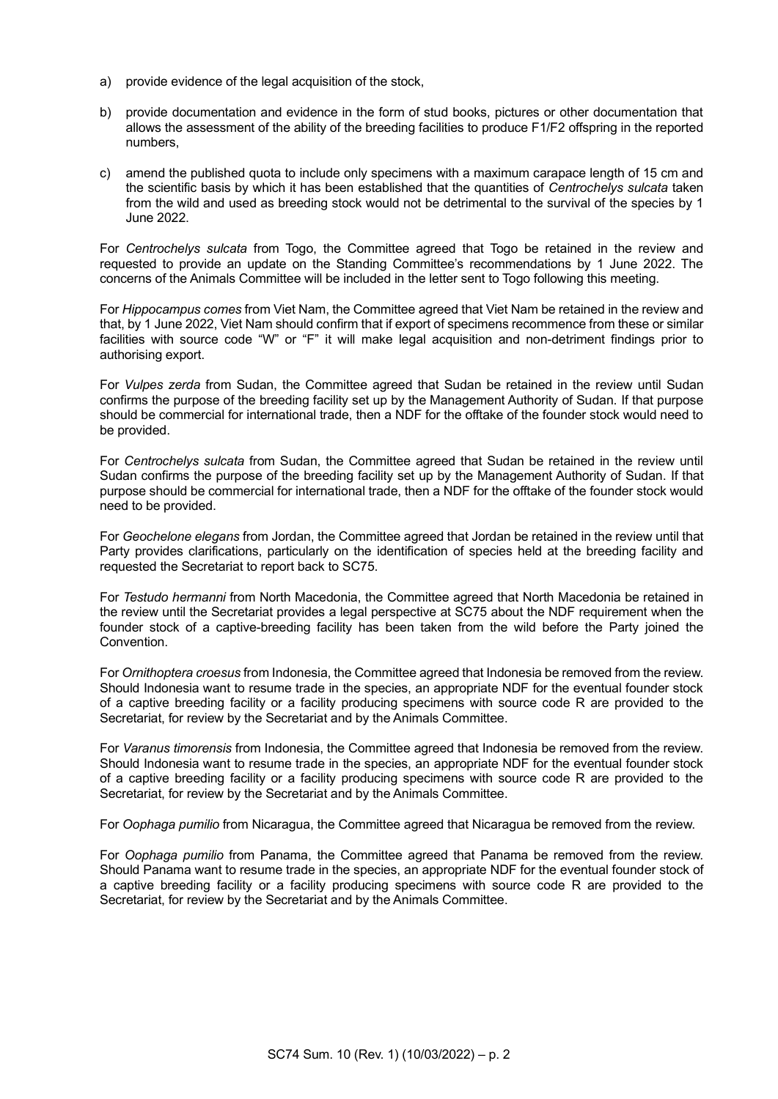- a) provide evidence of the legal acquisition of the stock,
- b) provide documentation and evidence in the form of stud books, pictures or other documentation that allows the assessment of the ability of the breeding facilities to produce F1/F2 offspring in the reported numbers,
- c) amend the published quota to include only specimens with a maximum carapace length of 15 cm and the scientific basis by which it has been established that the quantities of *Centrochelys sulcata* taken from the wild and used as breeding stock would not be detrimental to the survival of the species by 1 June 2022.

For *Centrochelys sulcata* from Togo, the Committee agreed that Togo be retained in the review and requested to provide an update on the Standing Committee's recommendations by 1 June 2022. The concerns of the Animals Committee will be included in the letter sent to Togo following this meeting.

For *Hippocampus comes* from Viet Nam, the Committee agreed that Viet Nam be retained in the review and that, by 1 June 2022, Viet Nam should confirm that if export of specimens recommence from these or similar facilities with source code "W" or "F" it will make legal acquisition and non-detriment findings prior to authorising export.

For *Vulpes zerda* from Sudan, the Committee agreed that Sudan be retained in the review until Sudan confirms the purpose of the breeding facility set up by the Management Authority of Sudan. If that purpose should be commercial for international trade, then a NDF for the offtake of the founder stock would need to be provided.

For *Centrochelys sulcata* from Sudan, the Committee agreed that Sudan be retained in the review until Sudan confirms the purpose of the breeding facility set up by the Management Authority of Sudan. If that purpose should be commercial for international trade, then a NDF for the offtake of the founder stock would need to be provided.

For *Geochelone elegans* from Jordan, the Committee agreed that Jordan be retained in the review until that Party provides clarifications, particularly on the identification of species held at the breeding facility and requested the Secretariat to report back to SC75.

For *Testudo hermanni* from North Macedonia, the Committee agreed that North Macedonia be retained in the review until the Secretariat provides a legal perspective at SC75 about the NDF requirement when the founder stock of a captive-breeding facility has been taken from the wild before the Party joined the Convention.

For *Ornithoptera croesus* from Indonesia, the Committee agreed that Indonesia be removed from the review. Should Indonesia want to resume trade in the species, an appropriate NDF for the eventual founder stock of a captive breeding facility or a facility producing specimens with source code R are provided to the Secretariat, for review by the Secretariat and by the Animals Committee.

For *Varanus timorensis* from Indonesia, the Committee agreed that Indonesia be removed from the review. Should Indonesia want to resume trade in the species, an appropriate NDF for the eventual founder stock of a captive breeding facility or a facility producing specimens with source code R are provided to the Secretariat, for review by the Secretariat and by the Animals Committee.

For *Oophaga pumilio* from Nicaragua, the Committee agreed that Nicaragua be removed from the review.

For *Oophaga pumilio* from Panama, the Committee agreed that Panama be removed from the review. Should Panama want to resume trade in the species, an appropriate NDF for the eventual founder stock of a captive breeding facility or a facility producing specimens with source code R are provided to the Secretariat, for review by the Secretariat and by the Animals Committee.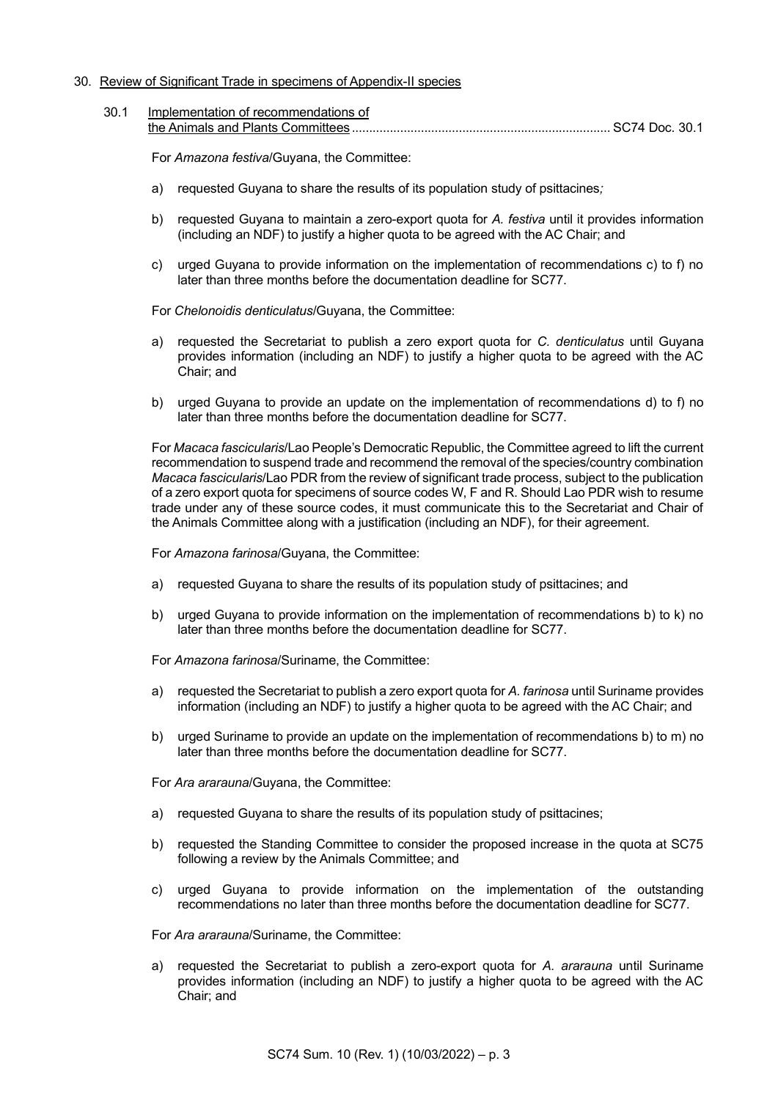#### 30. Review of Significant Trade in specimens of Appendix-II species

30.1 Implementation of recommendations of the Animals and Plants Committees ........................................................................... SC74 Doc. 30.1

For *Amazona festiva*/Guyana, the Committee:

- a) requested Guyana to share the results of its population study of psittacines*;*
- b) requested Guyana to maintain a zero-export quota for *A. festiva* until it provides information (including an NDF) to justify a higher quota to be agreed with the AC Chair; and
- c) urged Guyana to provide information on the implementation of recommendations c) to f) no later than three months before the documentation deadline for SC77.

For *Chelonoidis denticulatus*/Guyana, the Committee:

- a) requested the Secretariat to publish a zero export quota for *C. denticulatus* until Guyana provides information (including an NDF) to justify a higher quota to be agreed with the AC Chair; and
- b) urged Guyana to provide an update on the implementation of recommendations d) to f) no later than three months before the documentation deadline for SC77.

For *Macaca fascicularis*/Lao People's Democratic Republic, the Committee agreed to lift the current recommendation to suspend trade and recommend the removal of the species/country combination *Macaca fascicularis*/Lao PDR from the review of significant trade process, subject to the publication of a zero export quota for specimens of source codes W, F and R. Should Lao PDR wish to resume trade under any of these source codes, it must communicate this to the Secretariat and Chair of the Animals Committee along with a justification (including an NDF), for their agreement.

For *Amazona farinosa*/Guyana, the Committee:

- a) requested Guyana to share the results of its population study of psittacines; and
- b) urged Guyana to provide information on the implementation of recommendations b) to k) no later than three months before the documentation deadline for SC77.

For *Amazona farinosa*/Suriname, the Committee:

- a) requested the Secretariat to publish a zero export quota for *A. farinosa* until Suriname provides information (including an NDF) to justify a higher quota to be agreed with the AC Chair; and
- b) urged Suriname to provide an update on the implementation of recommendations b) to m) no later than three months before the documentation deadline for SC77.

For *Ara ararauna*/Guyana, the Committee:

- a) requested Guyana to share the results of its population study of psittacines;
- b) requested the Standing Committee to consider the proposed increase in the quota at SC75 following a review by the Animals Committee; and
- c) urged Guyana to provide information on the implementation of the outstanding recommendations no later than three months before the documentation deadline for SC77.

For *Ara ararauna*/Suriname, the Committee:

a) requested the Secretariat to publish a zero-export quota for *A. ararauna* until Suriname provides information (including an NDF) to justify a higher quota to be agreed with the AC Chair; and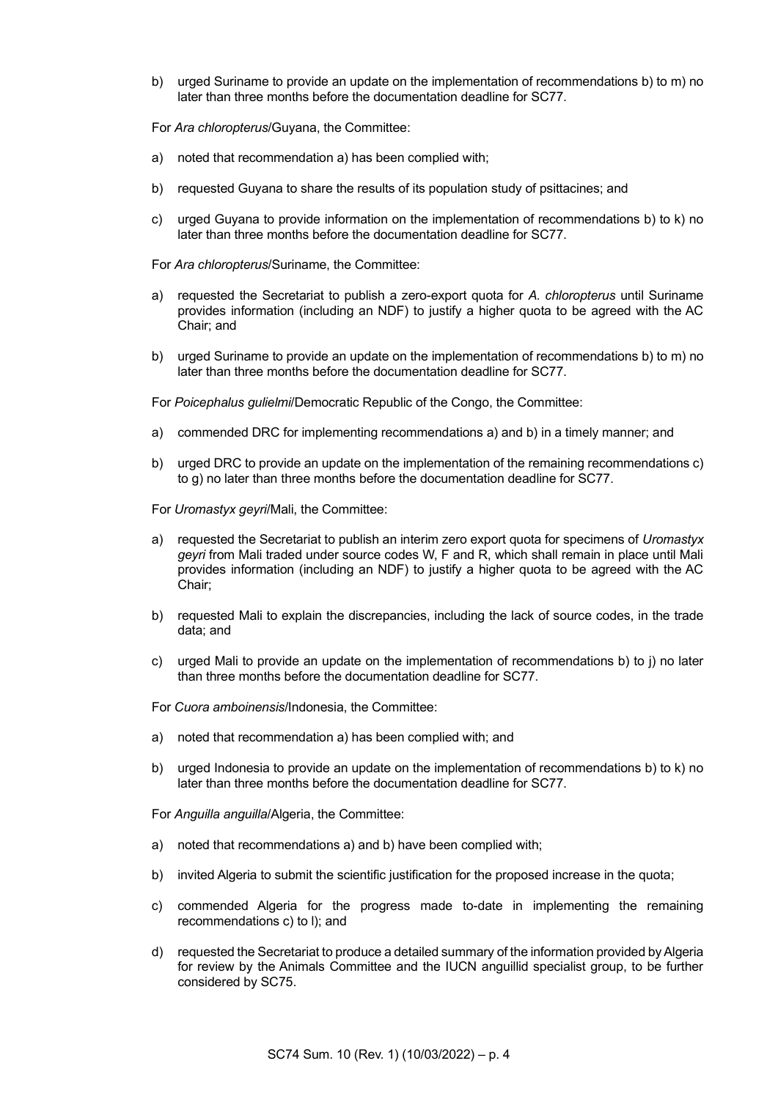b) urged Suriname to provide an update on the implementation of recommendations b) to m) no later than three months before the documentation deadline for SC77.

For *Ara chloropterus*/Guyana, the Committee:

- a) noted that recommendation a) has been complied with;
- b) requested Guyana to share the results of its population study of psittacines; and
- c) urged Guyana to provide information on the implementation of recommendations b) to k) no later than three months before the documentation deadline for SC77.

For *Ara chloropterus*/Suriname, the Committee:

- a) requested the Secretariat to publish a zero-export quota for *A. chloropterus* until Suriname provides information (including an NDF) to justify a higher quota to be agreed with the AC Chair; and
- b) urged Suriname to provide an update on the implementation of recommendations b) to m) no later than three months before the documentation deadline for SC77.

For *Poicephalus gulielmi*/Democratic Republic of the Congo, the Committee:

- a) commended DRC for implementing recommendations a) and b) in a timely manner; and
- b) urged DRC to provide an update on the implementation of the remaining recommendations c) to g) no later than three months before the documentation deadline for SC77.

For *Uromastyx geyri*/Mali, the Committee:

- a) requested the Secretariat to publish an interim zero export quota for specimens of *Uromastyx geyri* from Mali traded under source codes W, F and R, which shall remain in place until Mali provides information (including an NDF) to justify a higher quota to be agreed with the AC Chair;
- b) requested Mali to explain the discrepancies, including the lack of source codes, in the trade data; and
- c) urged Mali to provide an update on the implementation of recommendations b) to j) no later than three months before the documentation deadline for SC77.
- For *Cuora amboinensis*/Indonesia, the Committee:
- a) noted that recommendation a) has been complied with; and
- b) urged Indonesia to provide an update on the implementation of recommendations b) to k) no later than three months before the documentation deadline for SC77.

For *Anguilla anguilla*/Algeria, the Committee:

- a) noted that recommendations a) and b) have been complied with;
- b) invited Algeria to submit the scientific justification for the proposed increase in the quota;
- c) commended Algeria for the progress made to-date in implementing the remaining recommendations c) to l); and
- d) requested the Secretariat to produce a detailed summary of the information provided by Algeria for review by the Animals Committee and the IUCN anguillid specialist group, to be further considered by SC75.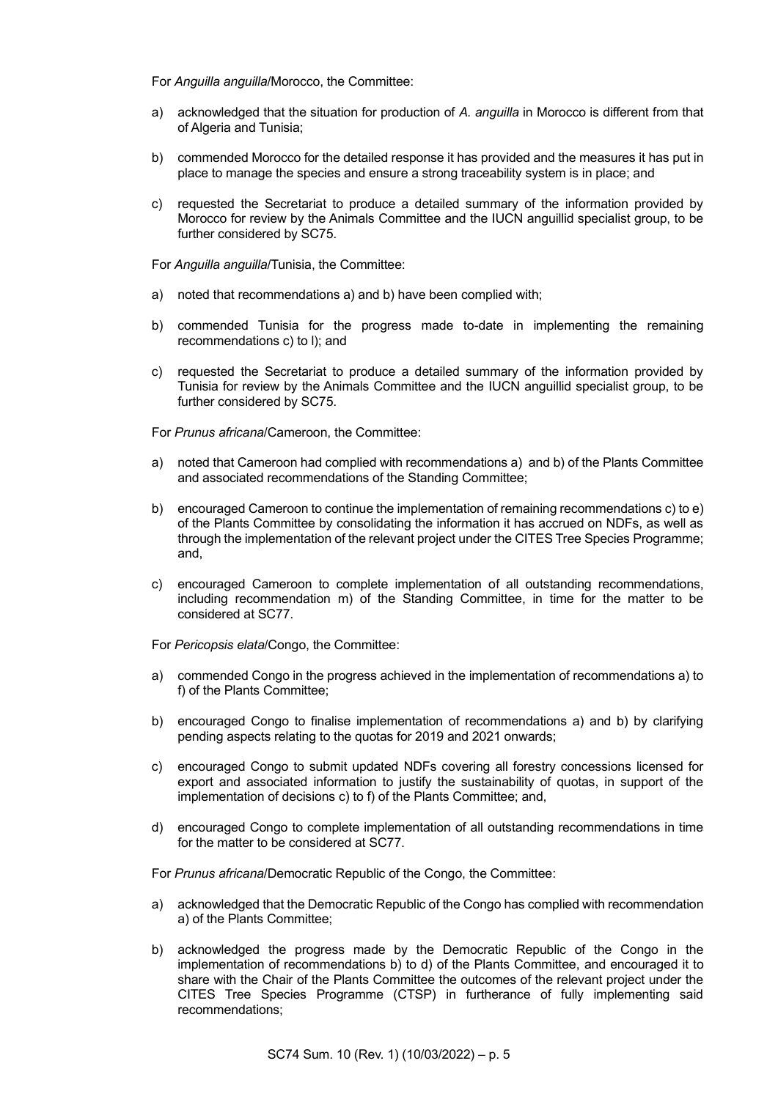For *Anguilla anguilla*/Morocco, the Committee:

- a) acknowledged that the situation for production of *A. anguilla* in Morocco is different from that of Algeria and Tunisia;
- b) commended Morocco for the detailed response it has provided and the measures it has put in place to manage the species and ensure a strong traceability system is in place; and
- c) requested the Secretariat to produce a detailed summary of the information provided by Morocco for review by the Animals Committee and the IUCN anguillid specialist group, to be further considered by SC75.

For *Anguilla anguilla*/Tunisia, the Committee:

- a) noted that recommendations a) and b) have been complied with;
- b) commended Tunisia for the progress made to-date in implementing the remaining recommendations c) to l); and
- c) requested the Secretariat to produce a detailed summary of the information provided by Tunisia for review by the Animals Committee and the IUCN anguillid specialist group, to be further considered by SC75.

For *Prunus africana*/Cameroon, the Committee:

- a) noted that Cameroon had complied with recommendations a) and b) of the Plants Committee and associated recommendations of the Standing Committee;
- b) encouraged Cameroon to continue the implementation of remaining recommendations c) to e) of the Plants Committee by consolidating the information it has accrued on NDFs, as well as through the implementation of the relevant project under the CITES Tree Species Programme; and,
- c) encouraged Cameroon to complete implementation of all outstanding recommendations, including recommendation m) of the Standing Committee, in time for the matter to be considered at SC77.

For *Pericopsis elata*/Congo, the Committee:

- a) commended Congo in the progress achieved in the implementation of recommendations a) to f) of the Plants Committee;
- b) encouraged Congo to finalise implementation of recommendations a) and b) by clarifying pending aspects relating to the quotas for 2019 and 2021 onwards;
- c) encouraged Congo to submit updated NDFs covering all forestry concessions licensed for export and associated information to justify the sustainability of quotas, in support of the implementation of decisions c) to f) of the Plants Committee; and,
- d) encouraged Congo to complete implementation of all outstanding recommendations in time for the matter to be considered at SC77.

For *Prunus africana*/Democratic Republic of the Congo, the Committee:

- a) acknowledged that the Democratic Republic of the Congo has complied with recommendation a) of the Plants Committee;
- b) acknowledged the progress made by the Democratic Republic of the Congo in the implementation of recommendations b) to d) of the Plants Committee, and encouraged it to share with the Chair of the Plants Committee the outcomes of the relevant project under the CITES Tree Species Programme (CTSP) in furtherance of fully implementing said recommendations;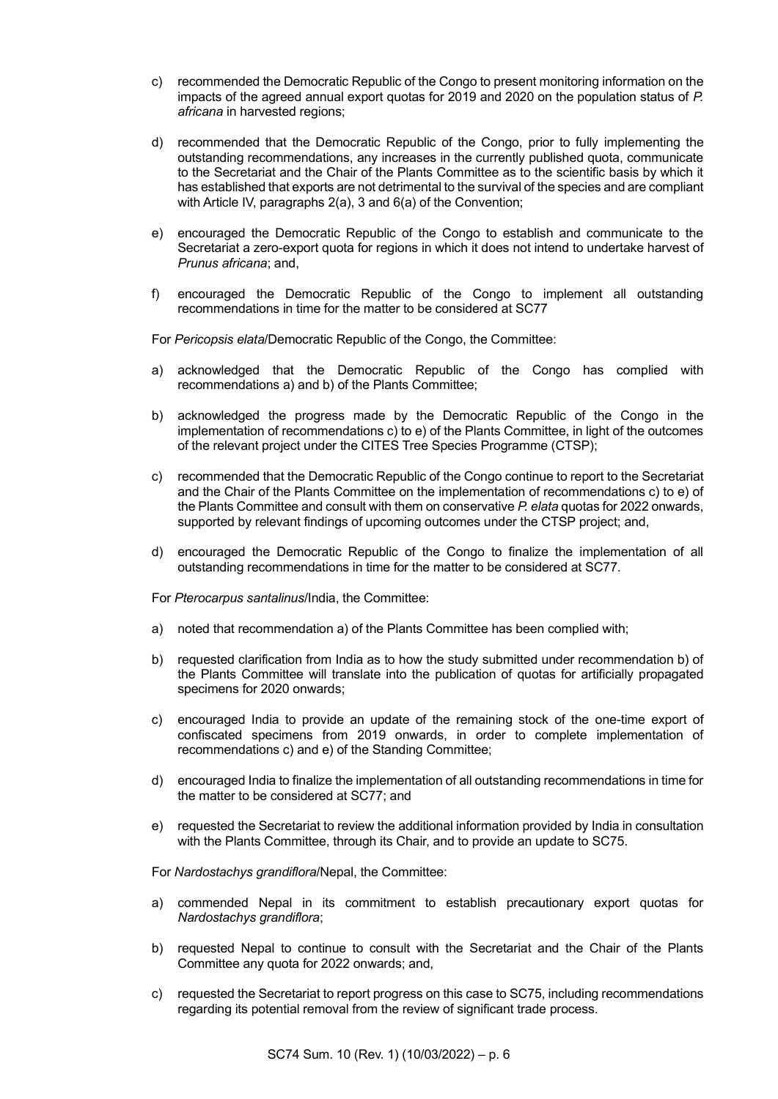- c) recommended the Democratic Republic of the Congo to present monitoring information on the impacts of the agreed annual export quotas for 2019 and 2020 on the population status of *P. africana* in harvested regions;
- d) recommended that the Democratic Republic of the Congo, prior to fully implementing the outstanding recommendations, any increases in the currently published quota, communicate to the Secretariat and the Chair of the Plants Committee as to the scientific basis by which it has established that exports are not detrimental to the survival of the species and are compliant with Article IV, paragraphs 2(a), 3 and 6(a) of the Convention;
- e) encouraged the Democratic Republic of the Congo to establish and communicate to the Secretariat a zero-export quota for regions in which it does not intend to undertake harvest of *Prunus africana*; and,
- f) encouraged the Democratic Republic of the Congo to implement all outstanding recommendations in time for the matter to be considered at SC77

For *Pericopsis elata*/Democratic Republic of the Congo, the Committee:

- a) acknowledged that the Democratic Republic of the Congo has complied with recommendations a) and b) of the Plants Committee;
- b) acknowledged the progress made by the Democratic Republic of the Congo in the implementation of recommendations c) to e) of the Plants Committee, in light of the outcomes of the relevant project under the CITES Tree Species Programme (CTSP);
- c) recommended that the Democratic Republic of the Congo continue to report to the Secretariat and the Chair of the Plants Committee on the implementation of recommendations c) to e) of the Plants Committee and consult with them on conservative *P. elata* quotas for 2022 onwards, supported by relevant findings of upcoming outcomes under the CTSP project; and,
- d) encouraged the Democratic Republic of the Congo to finalize the implementation of all outstanding recommendations in time for the matter to be considered at SC77.

For *Pterocarpus santalinus*/India, the Committee:

- a) noted that recommendation a) of the Plants Committee has been complied with;
- b) requested clarification from India as to how the study submitted under recommendation b) of the Plants Committee will translate into the publication of quotas for artificially propagated specimens for 2020 onwards;
- c) encouraged India to provide an update of the remaining stock of the one-time export of confiscated specimens from 2019 onwards, in order to complete implementation of recommendations c) and e) of the Standing Committee;
- d) encouraged India to finalize the implementation of all outstanding recommendations in time for the matter to be considered at SC77; and
- e) requested the Secretariat to review the additional information provided by India in consultation with the Plants Committee, through its Chair, and to provide an update to SC75.

For *Nardostachys grandiflora*/Nepal, the Committee:

- a) commended Nepal in its commitment to establish precautionary export quotas for *Nardostachys grandiflora*;
- b) requested Nepal to continue to consult with the Secretariat and the Chair of the Plants Committee any quota for 2022 onwards; and,
- c) requested the Secretariat to report progress on this case to SC75, including recommendations regarding its potential removal from the review of significant trade process.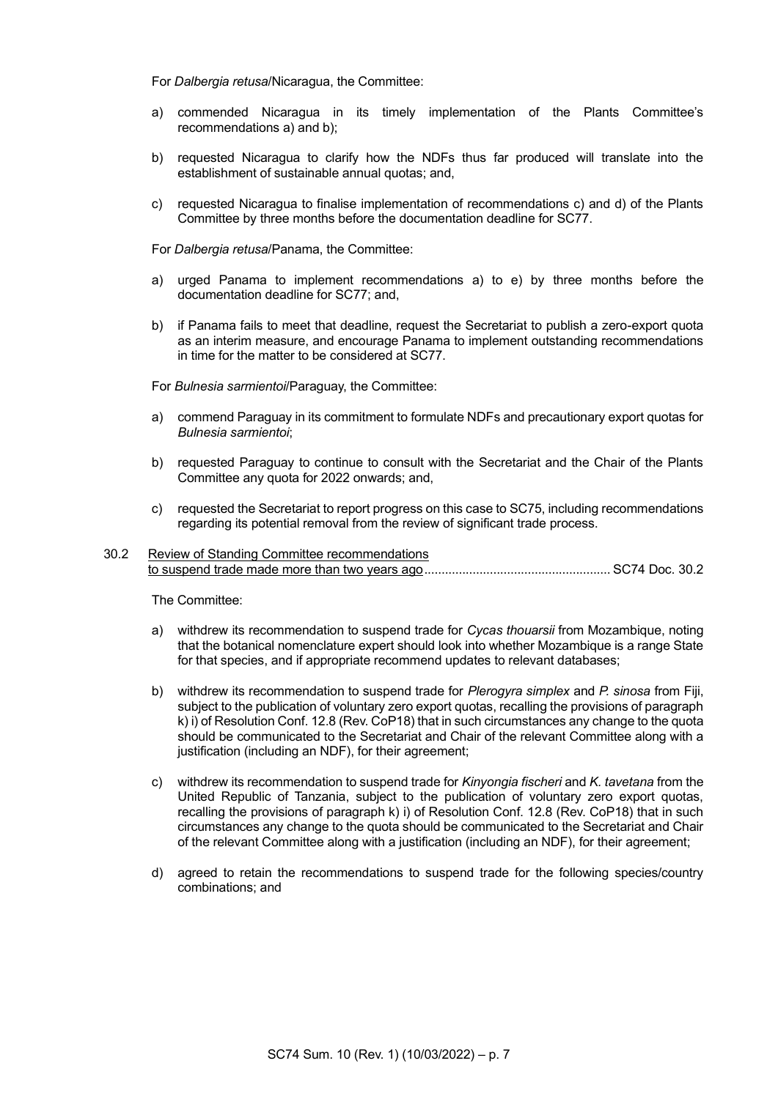For *Dalbergia retusa*/Nicaragua, the Committee:

- a) commended Nicaragua in its timely implementation of the Plants Committee's recommendations a) and b);
- b) requested Nicaragua to clarify how the NDFs thus far produced will translate into the establishment of sustainable annual quotas; and,
- c) requested Nicaragua to finalise implementation of recommendations c) and d) of the Plants Committee by three months before the documentation deadline for SC77.

For *Dalbergia retusa*/Panama, the Committee:

- a) urged Panama to implement recommendations a) to e) by three months before the documentation deadline for SC77; and,
- b) if Panama fails to meet that deadline, request the Secretariat to publish a zero-export quota as an interim measure, and encourage Panama to implement outstanding recommendations in time for the matter to be considered at SC77.

For *Bulnesia sarmientoi*/Paraguay, the Committee:

- a) commend Paraguay in its commitment to formulate NDFs and precautionary export quotas for *Bulnesia sarmientoi*;
- b) requested Paraguay to continue to consult with the Secretariat and the Chair of the Plants Committee any quota for 2022 onwards; and,
- c) requested the Secretariat to report progress on this case to SC75, including recommendations regarding its potential removal from the review of significant trade process.

#### 30.2 Review of Standing Committee recommendations to suspend trade made more than two years ago...................................................... SC74 Doc. 30.2

The Committee:

- a) withdrew its recommendation to suspend trade for *Cycas thouarsii* from Mozambique, noting that the botanical nomenclature expert should look into whether Mozambique is a range State for that species, and if appropriate recommend updates to relevant databases;
- b) withdrew its recommendation to suspend trade for *Plerogyra simplex* and *P. sinosa* from Fiji, subject to the publication of voluntary zero export quotas, recalling the provisions of paragraph k) i) of Resolution Conf. 12.8 (Rev. CoP18) that in such circumstances any change to the quota should be communicated to the Secretariat and Chair of the relevant Committee along with a justification (including an NDF), for their agreement;
- c) withdrew its recommendation to suspend trade for *Kinyongia fischeri* and *K. tavetana* from the United Republic of Tanzania, subject to the publication of voluntary zero export quotas, recalling the provisions of paragraph k) i) of Resolution Conf. 12.8 (Rev. CoP18) that in such circumstances any change to the quota should be communicated to the Secretariat and Chair of the relevant Committee along with a justification (including an NDF), for their agreement;
- d) agreed to retain the recommendations to suspend trade for the following species/country combinations; and